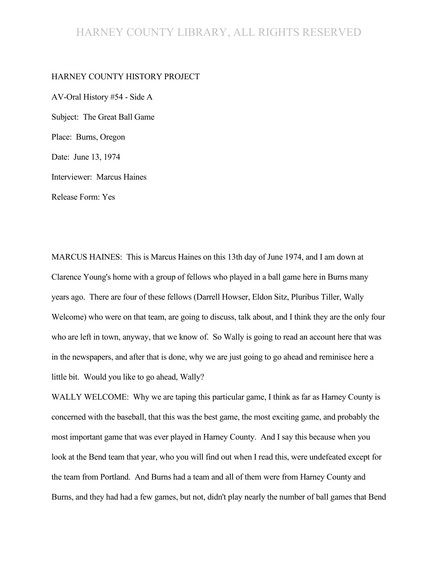#### HARNEY COUNTY LIBRARY, ALL RIGHTS RESERVED

#### HARNEY COUNTY HISTORY PROJECT

AV-Oral History #54 - Side A Subject: The Great Ball Game Place: Burns, Oregon Date: June 13, 1974 Interviewer: Marcus Haines Release Form: Yes

MARCUS HAINES: This is Marcus Haines on this 13th day of June 1974, and I am down at Clarence Young's home with a group of fellows who played in a ball game here in Burns many years ago. There are four of these fellows (Darrell Howser, Eldon Sitz, Pluribus Tiller, Wally Welcome) who were on that team, are going to discuss, talk about, and I think they are the only four who are left in town, anyway, that we know of. So Wally is going to read an account here that was in the newspapers, and after that is done, why we are just going to go ahead and reminisce here a little bit. Would you like to go ahead, Wally?

WALLY WELCOME: Why we are taping this particular game, I think as far as Harney County is concerned with the baseball, that this was the best game, the most exciting game, and probably the most important game that was ever played in Harney County. And I say this because when you look at the Bend team that year, who you will find out when I read this, were undefeated except for the team from Portland. And Burns had a team and all of them were from Harney County and Burns, and they had had a few games, but not, didn't play nearly the number of ball games that Bend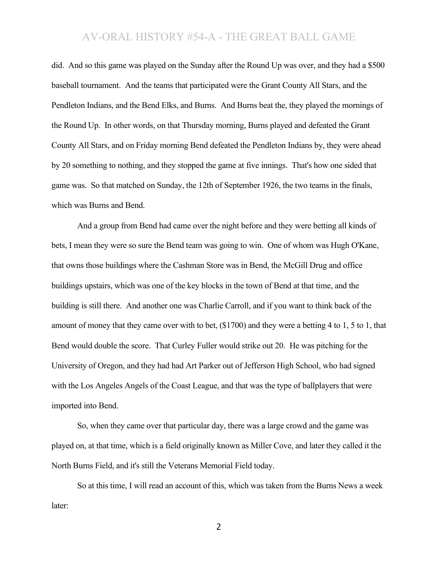did. And so this game was played on the Sunday after the Round Up was over, and they had a \$500 baseball tournament. And the teams that participated were the Grant County All Stars, and the Pendleton Indians, and the Bend Elks, and Burns. And Burns beat the, they played the mornings of the Round Up. In other words, on that Thursday morning, Burns played and defeated the Grant County All Stars, and on Friday morning Bend defeated the Pendleton Indians by, they were ahead by 20 something to nothing, and they stopped the game at five innings. That's how one sided that game was. So that matched on Sunday, the 12th of September 1926, the two teams in the finals, which was Burns and Bend.

And a group from Bend had came over the night before and they were betting all kinds of bets, I mean they were so sure the Bend team was going to win. One of whom was Hugh O'Kane, that owns those buildings where the Cashman Store was in Bend, the McGill Drug and office buildings upstairs, which was one of the key blocks in the town of Bend at that time, and the building is still there. And another one was Charlie Carroll, and if you want to think back of the amount of money that they came over with to bet, (\$1700) and they were a betting 4 to 1, 5 to 1, that Bend would double the score. That Curley Fuller would strike out 20. He was pitching for the University of Oregon, and they had had Art Parker out of Jefferson High School, who had signed with the Los Angeles Angels of the Coast League, and that was the type of ballplayers that were imported into Bend.

So, when they came over that particular day, there was a large crowd and the game was played on, at that time, which is a field originally known as Miller Cove, and later they called it the North Burns Field, and it's still the Veterans Memorial Field today.

So at this time, I will read an account of this, which was taken from the Burns News a week later: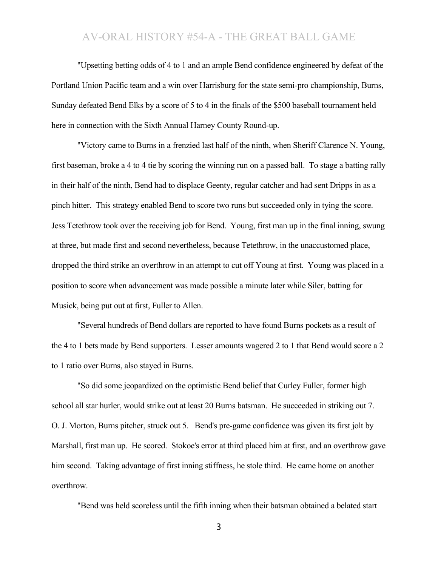"Upsetting betting odds of 4 to 1 and an ample Bend confidence engineered by defeat of the Portland Union Pacific team and a win over Harrisburg for the state semi-pro championship, Burns, Sunday defeated Bend Elks by a score of 5 to 4 in the finals of the \$500 baseball tournament held here in connection with the Sixth Annual Harney County Round-up.

"Victory came to Burns in a frenzied last half of the ninth, when Sheriff Clarence N. Young, first baseman, broke a 4 to 4 tie by scoring the winning run on a passed ball. To stage a batting rally in their half of the ninth, Bend had to displace Geenty, regular catcher and had sent Dripps in as a pinch hitter. This strategy enabled Bend to score two runs but succeeded only in tying the score. Jess Tetethrow took over the receiving job for Bend. Young, first man up in the final inning, swung at three, but made first and second nevertheless, because Tetethrow, in the unaccustomed place, dropped the third strike an overthrow in an attempt to cut off Young at first. Young was placed in a position to score when advancement was made possible a minute later while Siler, batting for Musick, being put out at first, Fuller to Allen.

"Several hundreds of Bend dollars are reported to have found Burns pockets as a result of the 4 to 1 bets made by Bend supporters. Lesser amounts wagered 2 to 1 that Bend would score a 2 to 1 ratio over Burns, also stayed in Burns.

"So did some jeopardized on the optimistic Bend belief that Curley Fuller, former high school all star hurler, would strike out at least 20 Burns batsman. He succeeded in striking out 7. O. J. Morton, Burns pitcher, struck out 5. Bend's pre-game confidence was given its first jolt by Marshall, first man up. He scored. Stokoe's error at third placed him at first, and an overthrow gave him second. Taking advantage of first inning stiffness, he stole third. He came home on another overthrow.

"Bend was held scoreless until the fifth inning when their batsman obtained a belated start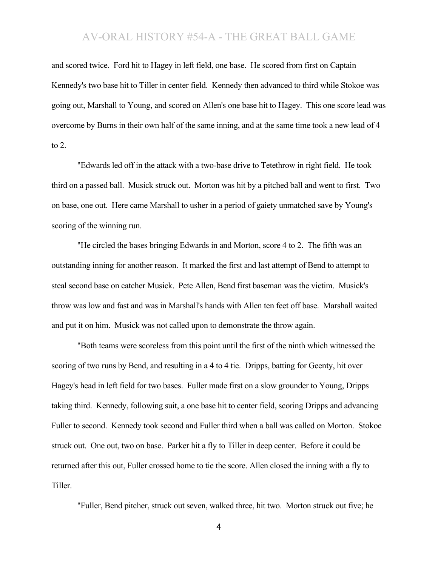and scored twice. Ford hit to Hagey in left field, one base. He scored from first on Captain Kennedy's two base hit to Tiller in center field. Kennedy then advanced to third while Stokoe was going out, Marshall to Young, and scored on Allen's one base hit to Hagey. This one score lead was overcome by Burns in their own half of the same inning, and at the same time took a new lead of 4 to 2.

"Edwards led off in the attack with a two-base drive to Tetethrow in right field. He took third on a passed ball. Musick struck out. Morton was hit by a pitched ball and went to first. Two on base, one out. Here came Marshall to usher in a period of gaiety unmatched save by Young's scoring of the winning run.

"He circled the bases bringing Edwards in and Morton, score 4 to 2. The fifth was an outstanding inning for another reason. It marked the first and last attempt of Bend to attempt to steal second base on catcher Musick. Pete Allen, Bend first baseman was the victim. Musick's throw was low and fast and was in Marshall's hands with Allen ten feet off base. Marshall waited and put it on him. Musick was not called upon to demonstrate the throw again.

"Both teams were scoreless from this point until the first of the ninth which witnessed the scoring of two runs by Bend, and resulting in a 4 to 4 tie. Dripps, batting for Geenty, hit over Hagey's head in left field for two bases. Fuller made first on a slow grounder to Young, Dripps taking third. Kennedy, following suit, a one base hit to center field, scoring Dripps and advancing Fuller to second. Kennedy took second and Fuller third when a ball was called on Morton. Stokoe struck out. One out, two on base. Parker hit a fly to Tiller in deep center. Before it could be returned after this out, Fuller crossed home to tie the score. Allen closed the inning with a fly to Tiller.

"Fuller, Bend pitcher, struck out seven, walked three, hit two. Morton struck out five; he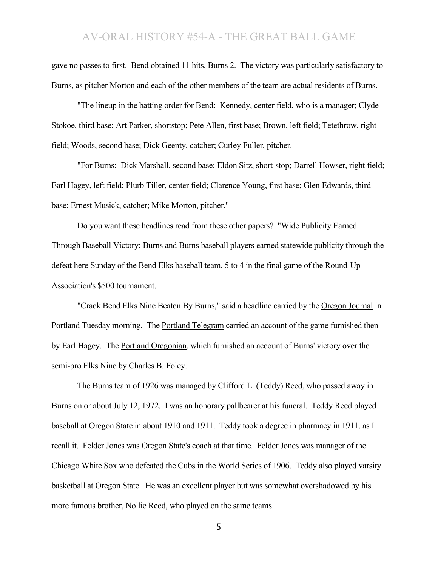gave no passes to first. Bend obtained 11 hits, Burns 2. The victory was particularly satisfactory to Burns, as pitcher Morton and each of the other members of the team are actual residents of Burns.

"The lineup in the batting order for Bend: Kennedy, center field, who is a manager; Clyde Stokoe, third base; Art Parker, shortstop; Pete Allen, first base; Brown, left field; Tetethrow, right field; Woods, second base; Dick Geenty, catcher; Curley Fuller, pitcher.

"For Burns: Dick Marshall, second base; Eldon Sitz, short-stop; Darrell Howser, right field; Earl Hagey, left field; Plurb Tiller, center field; Clarence Young, first base; Glen Edwards, third base; Ernest Musick, catcher; Mike Morton, pitcher."

Do you want these headlines read from these other papers? "Wide Publicity Earned Through Baseball Victory; Burns and Burns baseball players earned statewide publicity through the defeat here Sunday of the Bend Elks baseball team, 5 to 4 in the final game of the Round-Up Association's \$500 tournament.

"Crack Bend Elks Nine Beaten By Burns," said a headline carried by the Oregon Journal in Portland Tuesday morning. The Portland Telegram carried an account of the game furnished then by Earl Hagey. The Portland Oregonian, which furnished an account of Burns' victory over the semi-pro Elks Nine by Charles B. Foley.

The Burns team of 1926 was managed by Clifford L. (Teddy) Reed, who passed away in Burns on or about July 12, 1972. I was an honorary pallbearer at his funeral. Teddy Reed played baseball at Oregon State in about 1910 and 1911. Teddy took a degree in pharmacy in 1911, as I recall it. Felder Jones was Oregon State's coach at that time. Felder Jones was manager of the Chicago White Sox who defeated the Cubs in the World Series of 1906. Teddy also played varsity basketball at Oregon State. He was an excellent player but was somewhat overshadowed by his more famous brother, Nollie Reed, who played on the same teams.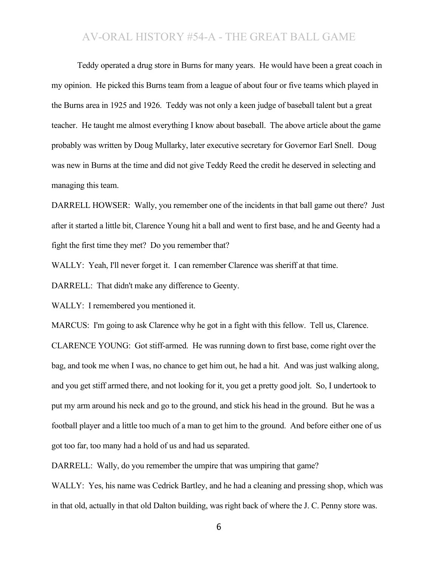Teddy operated a drug store in Burns for many years. He would have been a great coach in my opinion. He picked this Burns team from a league of about four or five teams which played in the Burns area in 1925 and 1926. Teddy was not only a keen judge of baseball talent but a great teacher. He taught me almost everything I know about baseball. The above article about the game probably was written by Doug Mullarky, later executive secretary for Governor Earl Snell. Doug was new in Burns at the time and did not give Teddy Reed the credit he deserved in selecting and managing this team.

DARRELL HOWSER: Wally, you remember one of the incidents in that ball game out there? Just after it started a little bit, Clarence Young hit a ball and went to first base, and he and Geenty had a fight the first time they met? Do you remember that?

WALLY: Yeah, I'll never forget it. I can remember Clarence was sheriff at that time.

DARRELL: That didn't make any difference to Geenty.

WALLY: I remembered you mentioned it.

MARCUS: I'm going to ask Clarence why he got in a fight with this fellow. Tell us, Clarence. CLARENCE YOUNG: Got stiff-armed. He was running down to first base, come right over the bag, and took me when I was, no chance to get him out, he had a hit. And was just walking along, and you get stiff armed there, and not looking for it, you get a pretty good jolt. So, I undertook to put my arm around his neck and go to the ground, and stick his head in the ground. But he was a football player and a little too much of a man to get him to the ground. And before either one of us got too far, too many had a hold of us and had us separated.

DARRELL: Wally, do you remember the umpire that was umpiring that game?

WALLY: Yes, his name was Cedrick Bartley, and he had a cleaning and pressing shop, which was in that old, actually in that old Dalton building, was right back of where the J. C. Penny store was.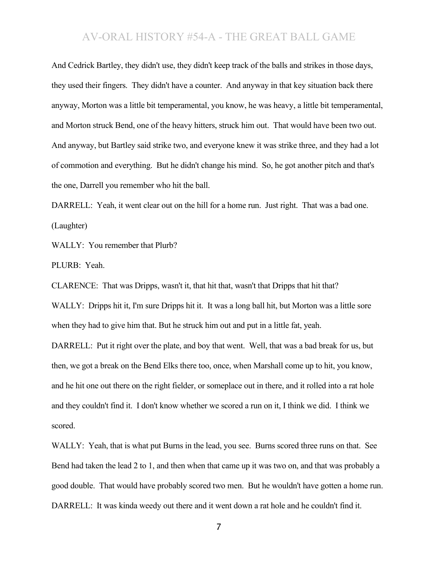And Cedrick Bartley, they didn't use, they didn't keep track of the balls and strikes in those days, they used their fingers. They didn't have a counter. And anyway in that key situation back there anyway, Morton was a little bit temperamental, you know, he was heavy, a little bit temperamental, and Morton struck Bend, one of the heavy hitters, struck him out. That would have been two out. And anyway, but Bartley said strike two, and everyone knew it was strike three, and they had a lot of commotion and everything. But he didn't change his mind. So, he got another pitch and that's the one, Darrell you remember who hit the ball.

DARRELL: Yeah, it went clear out on the hill for a home run. Just right. That was a bad one. (Laughter)

WALLY: You remember that Plurb?

PLURB: Yeah.

CLARENCE: That was Dripps, wasn't it, that hit that, wasn't that Dripps that hit that?

WALLY: Dripps hit it, I'm sure Dripps hit it. It was a long ball hit, but Morton was a little sore when they had to give him that. But he struck him out and put in a little fat, yeah.

DARRELL: Put it right over the plate, and boy that went. Well, that was a bad break for us, but then, we got a break on the Bend Elks there too, once, when Marshall come up to hit, you know, and he hit one out there on the right fielder, or someplace out in there, and it rolled into a rat hole and they couldn't find it. I don't know whether we scored a run on it, I think we did. I think we scored.

WALLY: Yeah, that is what put Burns in the lead, you see. Burns scored three runs on that. See Bend had taken the lead 2 to 1, and then when that came up it was two on, and that was probably a good double. That would have probably scored two men. But he wouldn't have gotten a home run. DARRELL: It was kinda weedy out there and it went down a rat hole and he couldn't find it.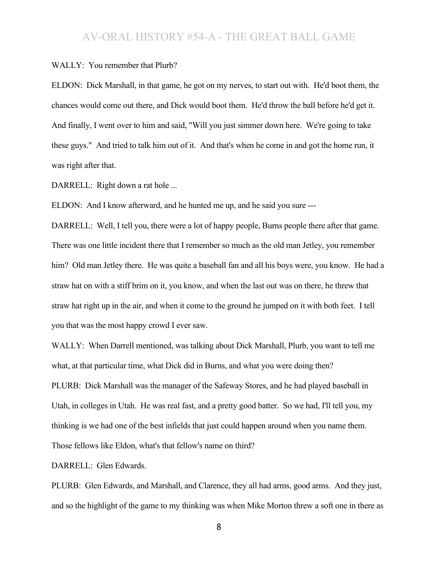#### WALLY: You remember that Plurb?

ELDON: Dick Marshall, in that game, he got on my nerves, to start out with. He'd boot them, the chances would come out there, and Dick would boot them. He'd throw the ball before he'd get it. And finally, I went over to him and said, "Will you just simmer down here. We're going to take these guys." And tried to talk him out of it. And that's when he come in and got the home run, it was right after that.

DARRELL: Right down a rat hole ...

ELDON: And I know afterward, and he hunted me up, and he said you sure ---

DARRELL: Well, I tell you, there were a lot of happy people, Burns people there after that game. There was one little incident there that I remember so much as the old man Jetley, you remember him? Old man Jetley there. He was quite a baseball fan and all his boys were, you know. He had a straw hat on with a stiff brim on it, you know, and when the last out was on there, he threw that straw hat right up in the air, and when it come to the ground he jumped on it with both feet. I tell you that was the most happy crowd I ever saw.

WALLY: When Darrell mentioned, was talking about Dick Marshall, Plurb, you want to tell me what, at that particular time, what Dick did in Burns, and what you were doing then? PLURB: Dick Marshall was the manager of the Safeway Stores, and he had played baseball in Utah, in colleges in Utah. He was real fast, and a pretty good batter. So we had, I'll tell you, my thinking is we had one of the best infields that just could happen around when you name them. Those fellows like Eldon, what's that fellow's name on third?

DARRELL: Glen Edwards.

PLURB: Glen Edwards, and Marshall, and Clarence, they all had arms, good arms. And they just, and so the highlight of the game to my thinking was when Mike Morton threw a soft one in there as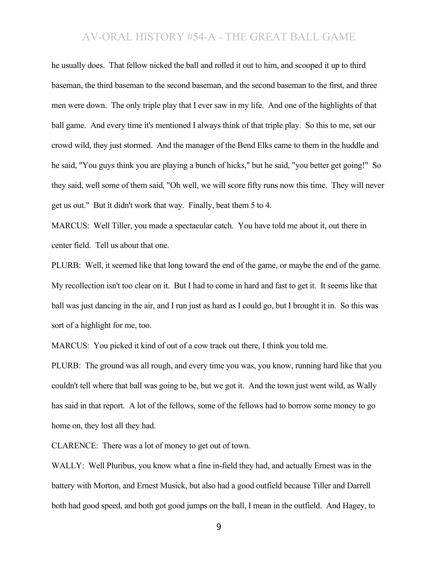he usually does. That fellow nicked the ball and rolled it out to him, and scooped it up to third baseman, the third baseman to the second baseman, and the second baseman to the first, and three men were down. The only triple play that I ever saw in my life. And one of the highlights of that ball game. And every time it's mentioned I always think of that triple play. So this to me, set our crowd wild, they just stormed. And the manager of the Bend Elks came to them in the huddle and he said, "You guys think you are playing a bunch of hicks," but he said, "you better get going!" So they said, well some of them said, "Oh well, we will score fifty runs now this time. They will never get us out." But it didn't work that way. Finally, beat them 5 to 4.

MARCUS: Well Tiller, you made a spectacular catch. You have told me about it, out there in center field. Tell us about that one.

PLURB: Well, it seemed like that long toward the end of the game, or maybe the end of the game. My recollection isn't too clear on it. But I had to come in hard and fast to get it. It seems like that ball was just dancing in the air, and I run just as hard as I could go, but I brought it in. So this was sort of a highlight for me, too.

MARCUS: You picked it kind of out of a cow track out there, I think you told me.

PLURB: The ground was all rough, and every time you was, you know, running hard like that you couldn't tell where that ball was going to be, but we got it. And the town just went wild, as Wally has said in that report. A lot of the fellows, some of the fellows had to borrow some money to go home on, they lost all they had.

CLARENCE: There was a lot of money to get out of town.

WALLY: Well Pluribus, you know what a fine in-field they had, and actually Ernest was in the battery with Morton, and Ernest Musick, but also had a good outfield because Tiller and Darrell both had good speed, and both got good jumps on the ball, I mean in the outfield. And Hagey, to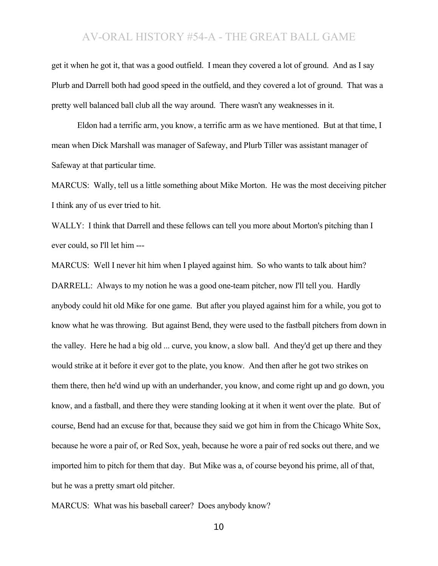get it when he got it, that was a good outfield. I mean they covered a lot of ground. And as I say Plurb and Darrell both had good speed in the outfield, and they covered a lot of ground. That was a pretty well balanced ball club all the way around. There wasn't any weaknesses in it.

Eldon had a terrific arm, you know, a terrific arm as we have mentioned. But at that time, I mean when Dick Marshall was manager of Safeway, and Plurb Tiller was assistant manager of Safeway at that particular time.

MARCUS: Wally, tell us a little something about Mike Morton. He was the most deceiving pitcher I think any of us ever tried to hit.

WALLY: I think that Darrell and these fellows can tell you more about Morton's pitching than I ever could, so I'll let him ---

MARCUS: Well I never hit him when I played against him. So who wants to talk about him? DARRELL: Always to my notion he was a good one-team pitcher, now I'll tell you. Hardly anybody could hit old Mike for one game. But after you played against him for a while, you got to know what he was throwing. But against Bend, they were used to the fastball pitchers from down in the valley. Here he had a big old ... curve, you know, a slow ball. And they'd get up there and they would strike at it before it ever got to the plate, you know. And then after he got two strikes on them there, then he'd wind up with an underhander, you know, and come right up and go down, you know, and a fastball, and there they were standing looking at it when it went over the plate. But of course, Bend had an excuse for that, because they said we got him in from the Chicago White Sox, because he wore a pair of, or Red Sox, yeah, because he wore a pair of red socks out there, and we imported him to pitch for them that day. But Mike was a, of course beyond his prime, all of that, but he was a pretty smart old pitcher.

MARCUS: What was his baseball career? Does anybody know?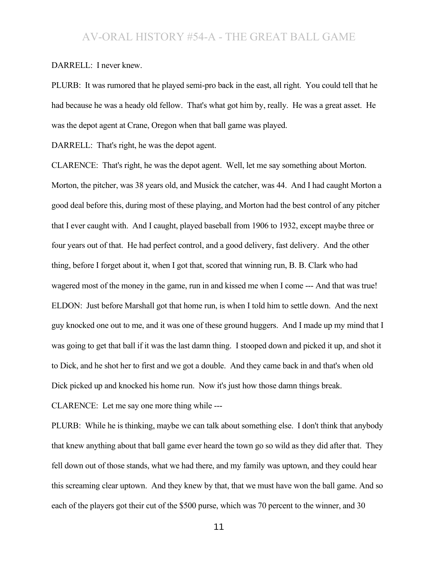#### DARRELL: I never knew.

PLURB: It was rumored that he played semi-pro back in the east, all right. You could tell that he had because he was a heady old fellow. That's what got him by, really. He was a great asset. He was the depot agent at Crane, Oregon when that ball game was played.

DARRELL: That's right, he was the depot agent.

CLARENCE: That's right, he was the depot agent. Well, let me say something about Morton. Morton, the pitcher, was 38 years old, and Musick the catcher, was 44. And I had caught Morton a good deal before this, during most of these playing, and Morton had the best control of any pitcher that I ever caught with. And I caught, played baseball from 1906 to 1932, except maybe three or four years out of that. He had perfect control, and a good delivery, fast delivery. And the other thing, before I forget about it, when I got that, scored that winning run, B. B. Clark who had wagered most of the money in the game, run in and kissed me when I come --- And that was true! ELDON: Just before Marshall got that home run, is when I told him to settle down. And the next guy knocked one out to me, and it was one of these ground huggers. And I made up my mind that I was going to get that ball if it was the last damn thing. I stooped down and picked it up, and shot it to Dick, and he shot her to first and we got a double. And they came back in and that's when old Dick picked up and knocked his home run. Now it's just how those damn things break.

CLARENCE: Let me say one more thing while ---

PLURB: While he is thinking, maybe we can talk about something else. I don't think that anybody that knew anything about that ball game ever heard the town go so wild as they did after that. They fell down out of those stands, what we had there, and my family was uptown, and they could hear this screaming clear uptown. And they knew by that, that we must have won the ball game. And so each of the players got their cut of the \$500 purse, which was 70 percent to the winner, and 30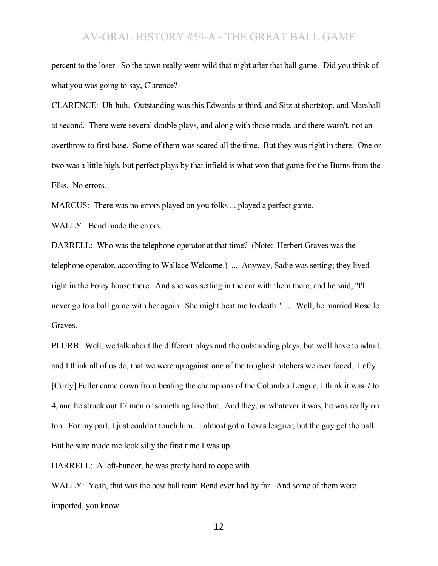percent to the loser. So the town really went wild that night after that ball game. Did you think of what you was going to say, Clarence?

CLARENCE: Uh-huh. Outstanding was this Edwards at third, and Sitz at shortstop, and Marshall at second. There were several double plays, and along with those made, and there wasn't, not an overthrow to first base. Some of them was scared all the time. But they was right in there. One or two was a little high, but perfect plays by that infield is what won that game for the Burns from the Elks. No errors.

MARCUS: There was no errors played on you folks ... played a perfect game.

WALLY: Bend made the errors.

DARRELL: Who was the telephone operator at that time? (Note: Herbert Graves was the telephone operator, according to Wallace Welcome.) ... Anyway, Sadie was setting; they lived right in the Foley house there. And she was setting in the car with them there, and he said, "I'll never go to a ball game with her again. She might beat me to death." ... Well, he married Roselle Graves.

PLURB: Well, we talk about the different plays and the outstanding plays, but we'll have to admit, and I think all of us do, that we were up against one of the toughest pitchers we ever faced. Lefty [Curly] Fuller came down from beating the champions of the Columbia League, I think it was 7 to 4, and he struck out 17 men or something like that. And they, or whatever it was, he was really on top. For my part, I just couldn't touch him. I almost got a Texas leaguer, but the guy got the ball. But he sure made me look silly the first time I was up.

DARRELL: A left-hander, he was pretty hard to cope with.

WALLY: Yeah, that was the best ball team Bend ever had by far. And some of them were imported, you know.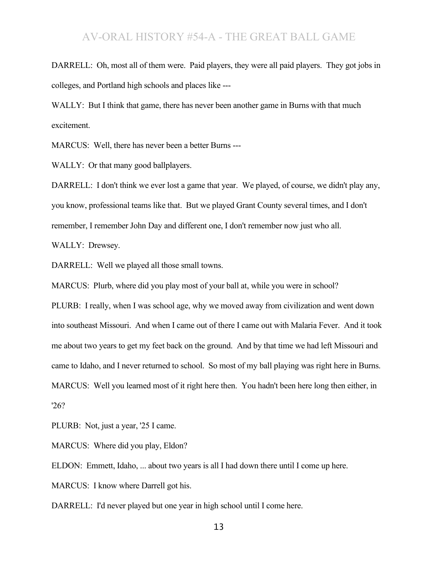DARRELL: Oh, most all of them were. Paid players, they were all paid players. They got jobs in colleges, and Portland high schools and places like ---

WALLY: But I think that game, there has never been another game in Burns with that much excitement.

MARCUS: Well, there has never been a better Burns ---

WALLY: Or that many good ballplayers.

DARRELL: I don't think we ever lost a game that year. We played, of course, we didn't play any, you know, professional teams like that. But we played Grant County several times, and I don't remember, I remember John Day and different one, I don't remember now just who all.

WALLY: Drewsey.

DARRELL: Well we played all those small towns.

MARCUS: Plurb, where did you play most of your ball at, while you were in school?

PLURB: I really, when I was school age, why we moved away from civilization and went down into southeast Missouri. And when I came out of there I came out with Malaria Fever. And it took me about two years to get my feet back on the ground. And by that time we had left Missouri and came to Idaho, and I never returned to school. So most of my ball playing was right here in Burns. MARCUS: Well you learned most of it right here then. You hadn't been here long then either, in '26?

PLURB: Not, just a year, '25 I came.

MARCUS: Where did you play, Eldon?

ELDON: Emmett, Idaho, ... about two years is all I had down there until I come up here.

MARCUS: I know where Darrell got his.

DARRELL: I'd never played but one year in high school until I come here.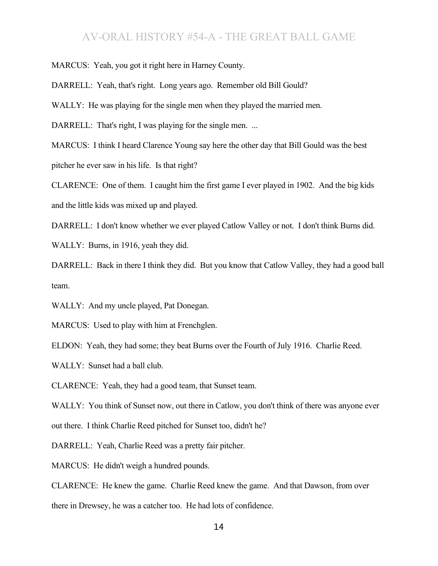MARCUS: Yeah, you got it right here in Harney County.

DARRELL: Yeah, that's right. Long years ago. Remember old Bill Gould?

WALLY: He was playing for the single men when they played the married men.

DARRELL: That's right, I was playing for the single men. ...

MARCUS: I think I heard Clarence Young say here the other day that Bill Gould was the best pitcher he ever saw in his life. Is that right?

CLARENCE: One of them. I caught him the first game I ever played in 1902. And the big kids and the little kids was mixed up and played.

DARRELL: I don't know whether we ever played Catlow Valley or not. I don't think Burns did.

WALLY: Burns, in 1916, yeah they did.

DARRELL: Back in there I think they did. But you know that Catlow Valley, they had a good ball team.

WALLY: And my uncle played, Pat Donegan.

MARCUS: Used to play with him at Frenchglen.

ELDON: Yeah, they had some; they beat Burns over the Fourth of July 1916. Charlie Reed.

WALLY: Sunset had a ball club.

CLARENCE: Yeah, they had a good team, that Sunset team.

WALLY: You think of Sunset now, out there in Catlow, you don't think of there was anyone ever out there. I think Charlie Reed pitched for Sunset too, didn't he?

DARRELL: Yeah, Charlie Reed was a pretty fair pitcher.

MARCUS: He didn't weigh a hundred pounds.

CLARENCE: He knew the game. Charlie Reed knew the game. And that Dawson, from over there in Drewsey, he was a catcher too. He had lots of confidence.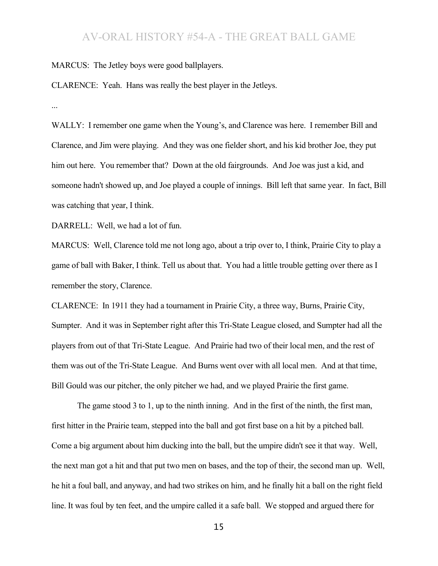MARCUS: The Jetley boys were good ballplayers.

CLARENCE: Yeah. Hans was really the best player in the Jetleys.

...

WALLY: I remember one game when the Young's, and Clarence was here. I remember Bill and Clarence, and Jim were playing. And they was one fielder short, and his kid brother Joe, they put him out here. You remember that? Down at the old fairgrounds. And Joe was just a kid, and someone hadn't showed up, and Joe played a couple of innings. Bill left that same year. In fact, Bill was catching that year, I think.

DARRELL: Well, we had a lot of fun.

MARCUS: Well, Clarence told me not long ago, about a trip over to, I think, Prairie City to play a game of ball with Baker, I think. Tell us about that. You had a little trouble getting over there as I remember the story, Clarence.

CLARENCE: In 1911 they had a tournament in Prairie City, a three way, Burns, Prairie City, Sumpter. And it was in September right after this Tri-State League closed, and Sumpter had all the players from out of that Tri-State League. And Prairie had two of their local men, and the rest of them was out of the Tri-State League. And Burns went over with all local men. And at that time, Bill Gould was our pitcher, the only pitcher we had, and we played Prairie the first game.

The game stood 3 to 1, up to the ninth inning. And in the first of the ninth, the first man, first hitter in the Prairie team, stepped into the ball and got first base on a hit by a pitched ball. Come a big argument about him ducking into the ball, but the umpire didn't see it that way. Well, the next man got a hit and that put two men on bases, and the top of their, the second man up. Well, he hit a foul ball, and anyway, and had two strikes on him, and he finally hit a ball on the right field line. It was foul by ten feet, and the umpire called it a safe ball. We stopped and argued there for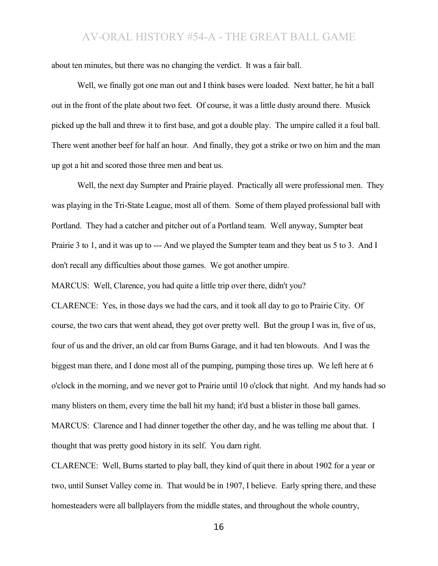about ten minutes, but there was no changing the verdict. It was a fair ball.

Well, we finally got one man out and I think bases were loaded. Next batter, he hit a ball out in the front of the plate about two feet. Of course, it was a little dusty around there. Musick picked up the ball and threw it to first base, and got a double play. The umpire called it a foul ball. There went another beef for half an hour. And finally, they got a strike or two on him and the man up got a hit and scored those three men and beat us.

Well, the next day Sumpter and Prairie played. Practically all were professional men. They was playing in the Tri-State League, most all of them. Some of them played professional ball with Portland. They had a catcher and pitcher out of a Portland team. Well anyway, Sumpter beat Prairie 3 to 1, and it was up to --- And we played the Sumpter team and they beat us 5 to 3. And I don't recall any difficulties about those games. We got another umpire.

MARCUS: Well, Clarence, you had quite a little trip over there, didn't you?

CLARENCE: Yes, in those days we had the cars, and it took all day to go to Prairie City. Of course, the two cars that went ahead, they got over pretty well. But the group I was in, five of us, four of us and the driver, an old car from Burns Garage, and it had ten blowouts. And I was the biggest man there, and I done most all of the pumping, pumping those tires up. We left here at 6 o'clock in the morning, and we never got to Prairie until 10 o'clock that night. And my hands had so many blisters on them, every time the ball hit my hand; it'd bust a blister in those ball games. MARCUS: Clarence and I had dinner together the other day, and he was telling me about that. I thought that was pretty good history in its self. You darn right.

CLARENCE: Well, Burns started to play ball, they kind of quit there in about 1902 for a year or two, until Sunset Valley come in. That would be in 1907, I believe. Early spring there, and these homesteaders were all ballplayers from the middle states, and throughout the whole country,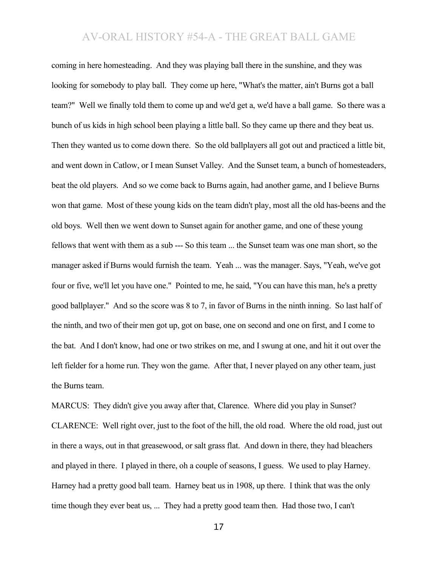coming in here homesteading. And they was playing ball there in the sunshine, and they was looking for somebody to play ball. They come up here, "What's the matter, ain't Burns got a ball team?" Well we finally told them to come up and we'd get a, we'd have a ball game. So there was a bunch of us kids in high school been playing a little ball. So they came up there and they beat us. Then they wanted us to come down there. So the old ballplayers all got out and practiced a little bit, and went down in Catlow, or I mean Sunset Valley. And the Sunset team, a bunch of homesteaders, beat the old players. And so we come back to Burns again, had another game, and I believe Burns won that game. Most of these young kids on the team didn't play, most all the old has-beens and the old boys. Well then we went down to Sunset again for another game, and one of these young fellows that went with them as a sub --- So this team ... the Sunset team was one man short, so the manager asked if Burns would furnish the team. Yeah ... was the manager. Says, "Yeah, we've got four or five, we'll let you have one." Pointed to me, he said, "You can have this man, he's a pretty good ballplayer." And so the score was 8 to 7, in favor of Burns in the ninth inning. So last half of the ninth, and two of their men got up, got on base, one on second and one on first, and I come to the bat. And I don't know, had one or two strikes on me, and I swung at one, and hit it out over the left fielder for a home run. They won the game. After that, I never played on any other team, just the Burns team.

MARCUS: They didn't give you away after that, Clarence. Where did you play in Sunset? CLARENCE: Well right over, just to the foot of the hill, the old road. Where the old road, just out in there a ways, out in that greasewood, or salt grass flat. And down in there, they had bleachers and played in there. I played in there, oh a couple of seasons, I guess. We used to play Harney. Harney had a pretty good ball team. Harney beat us in 1908, up there. I think that was the only time though they ever beat us, ... They had a pretty good team then. Had those two, I can't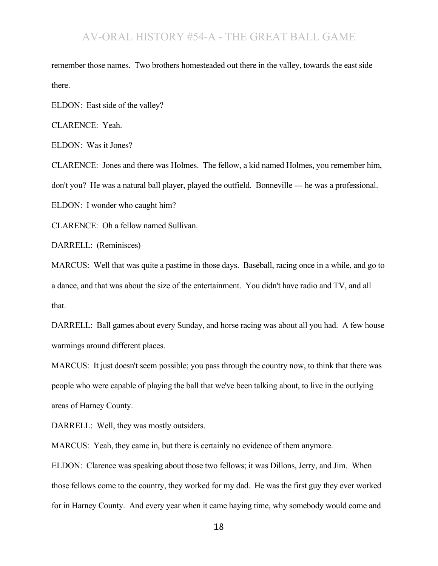remember those names. Two brothers homesteaded out there in the valley, towards the east side there.

ELDON: East side of the valley?

CLARENCE: Yeah.

ELDON: Was it Jones?

CLARENCE: Jones and there was Holmes. The fellow, a kid named Holmes, you remember him, don't you? He was a natural ball player, played the outfield. Bonneville --- he was a professional. ELDON: I wonder who caught him?

CLARENCE: Oh a fellow named Sullivan.

DARRELL: (Reminisces)

MARCUS: Well that was quite a pastime in those days. Baseball, racing once in a while, and go to a dance, and that was about the size of the entertainment. You didn't have radio and TV, and all that.

DARRELL: Ball games about every Sunday, and horse racing was about all you had. A few house warmings around different places.

MARCUS: It just doesn't seem possible; you pass through the country now, to think that there was people who were capable of playing the ball that we've been talking about, to live in the outlying areas of Harney County.

DARRELL: Well, they was mostly outsiders.

MARCUS: Yeah, they came in, but there is certainly no evidence of them anymore.

ELDON: Clarence was speaking about those two fellows; it was Dillons, Jerry, and Jim. When those fellows come to the country, they worked for my dad. He was the first guy they ever worked for in Harney County. And every year when it came haying time, why somebody would come and